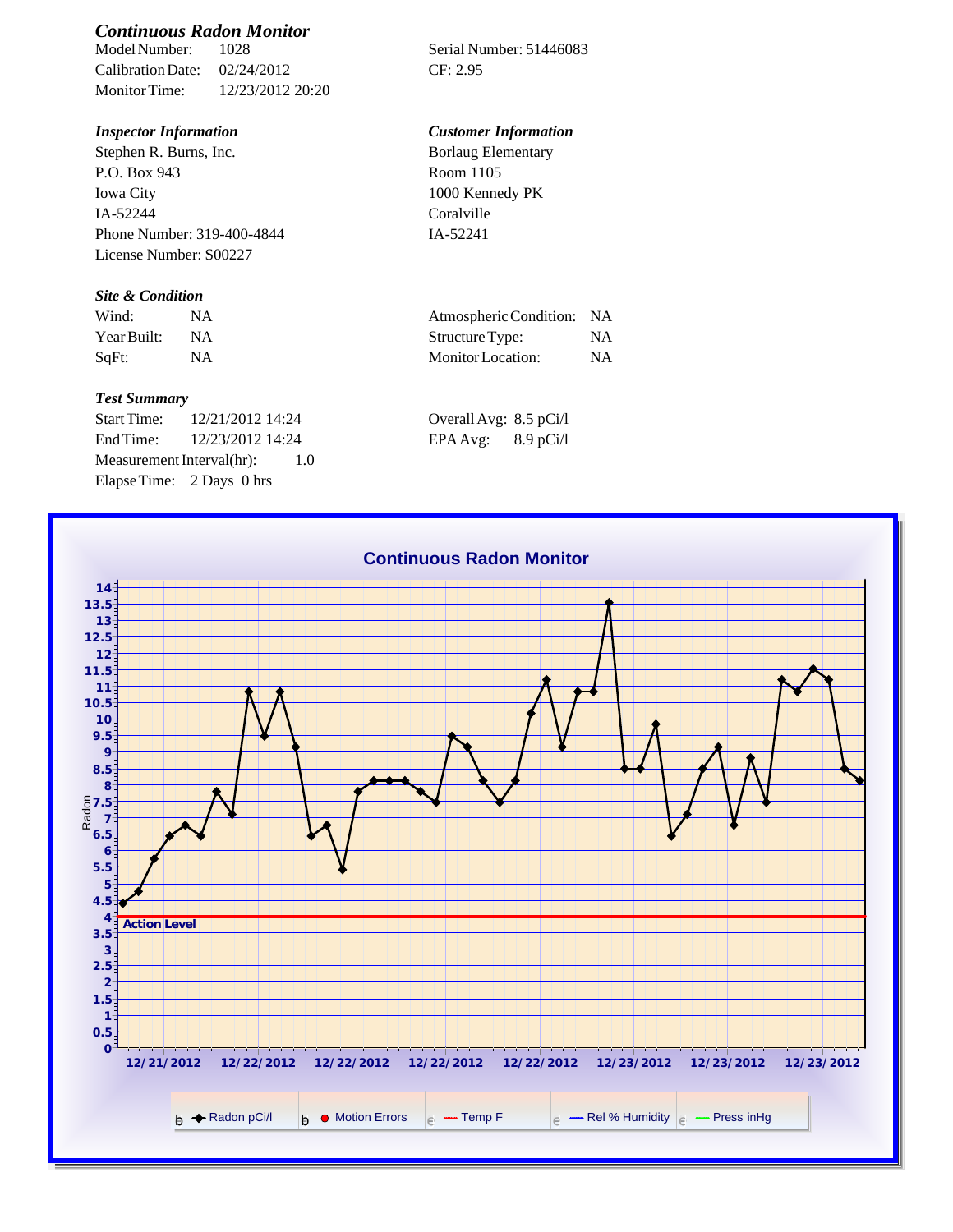# *Continuous Radon Monitor*

Calibration Date: 02/24/2012 CF: 2.95 Monitor Time: 12/23/2012 20:20

Stephen R. Burns, Inc. P.O. Box 943 Iowa City IA-52244 Phone Number: 319-400-4844 License Number: S00227

### *Site & Condition*

| Wind:       |    | Atmospheric Condition: NA |           |
|-------------|----|---------------------------|-----------|
| Year Built: | ΝA | Structure Type:           | NA        |
| SqFt:       |    | Monitor Location:         | <b>NA</b> |

#### *Test Summary*

Start Time: 12/21/2012 14:24 End Time:  $12/23/2012$  14:24 Measurement Interval(hr): 1.0 Elapse Time: 2 Days 0 hrs

Serial Number: 51446083

## *Inspector Information Customer Information*

Borlaug Elementary Room 1105 1000 Kennedy PK Coralville IA-52241

| Atmospheric Condition: NA |           |
|---------------------------|-----------|
| Structure Type:           | NA.       |
| Monitor Location:         | <b>NA</b> |

| Overall Avg: 8.5 pCi/l |             |
|------------------------|-------------|
| EPA Avg:               | $8.9$ pCi/l |

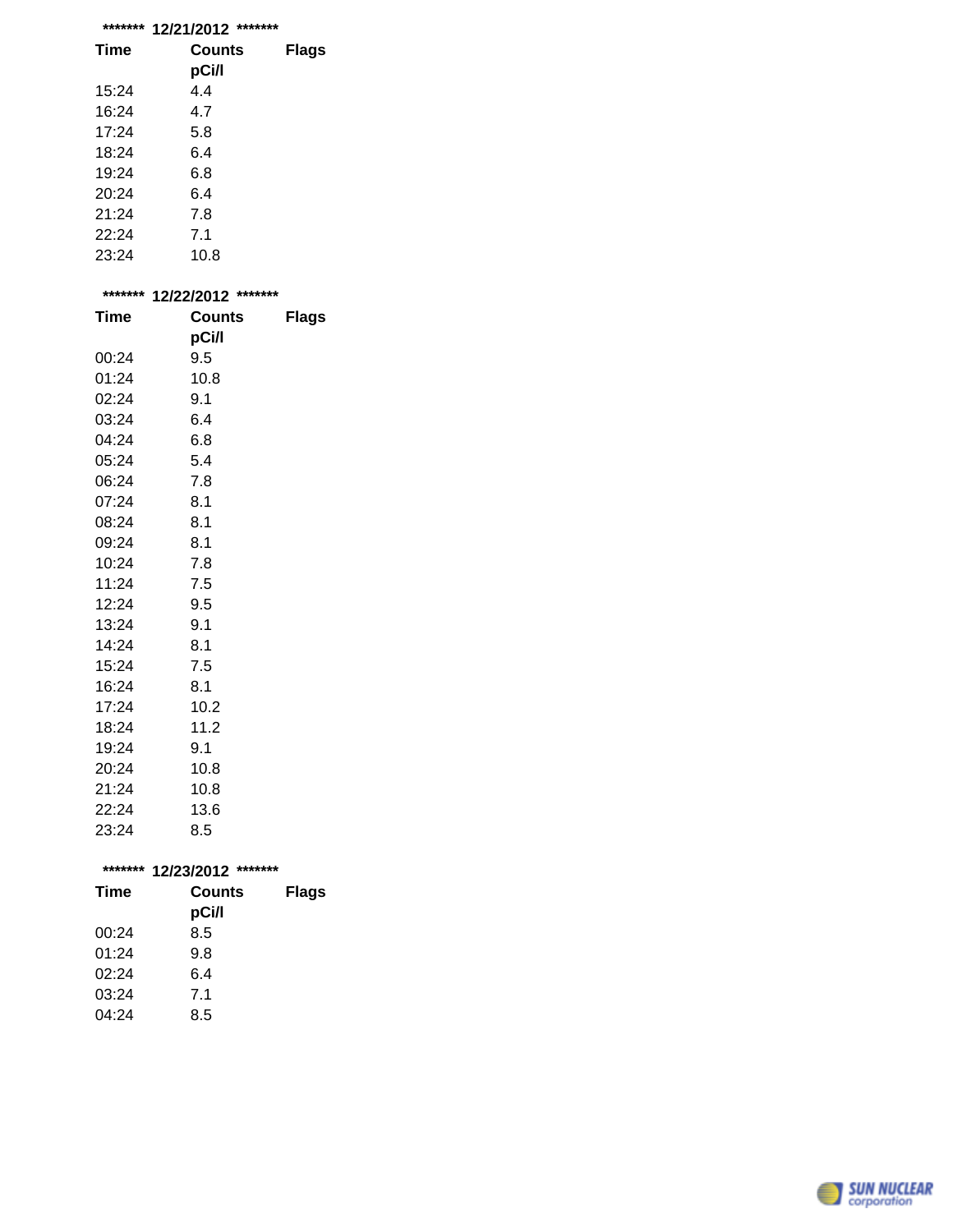| ******* | 12/21/2012<br>*******  |              |
|---------|------------------------|--------------|
| Time    | <b>Counts</b><br>pCi/l | <b>Flags</b> |
| 15:24   | 4.4                    |              |
| 16:24   | 4.7                    |              |
| 17:24   | 5.8                    |              |
| 18:24   | 6.4                    |              |
| 19:24   | 6.8                    |              |

20:24 6.4 21:24 7.8 22:24 7.1

23:24 10.8

| ******* | 12/22/2012 ******* |              |  |
|---------|--------------------|--------------|--|
| Time    | <b>Counts</b>      | <b>Flags</b> |  |
|         | pCi/l              |              |  |
| 00:24   | 9.5                |              |  |
| 01:24   | 10.8               |              |  |
| 02:24   | 9.1                |              |  |
| 03:24   | 6.4                |              |  |
| 04:24   | 6.8                |              |  |
| 05:24   | 5.4                |              |  |
| 06:24   | 7.8                |              |  |
| 07:24   | 8.1                |              |  |
| 08:24   | 8.1                |              |  |
| 09:24   | 8.1                |              |  |
| 10:24   | 7.8                |              |  |
| 11:24   | 7.5                |              |  |
| 12:24   | 9.5                |              |  |
| 13:24   | 9.1                |              |  |
| 14:24   | 8.1                |              |  |
| 15:24   | 7.5                |              |  |
| 16:24   | 8.1                |              |  |
| 17:24   | 10.2               |              |  |
| 18:24   | 11.2               |              |  |
| 19:24   | 9.1                |              |  |
| 20:24   | 10.8               |              |  |
| 21:24   | 10.8               |              |  |
| 22:24   | 13.6               |              |  |
| 23:24   | 8.5                |              |  |

| ******* | 12/23/2012<br>*******  |              |
|---------|------------------------|--------------|
| Time    | <b>Counts</b><br>pCi/l | <b>Flags</b> |
| 00:24   | 8.5                    |              |
| 01:24   | 9.8                    |              |
| 02:24   | 6.4                    |              |
| 03:24   | 7.1                    |              |
| 04:24   | 8.5                    |              |